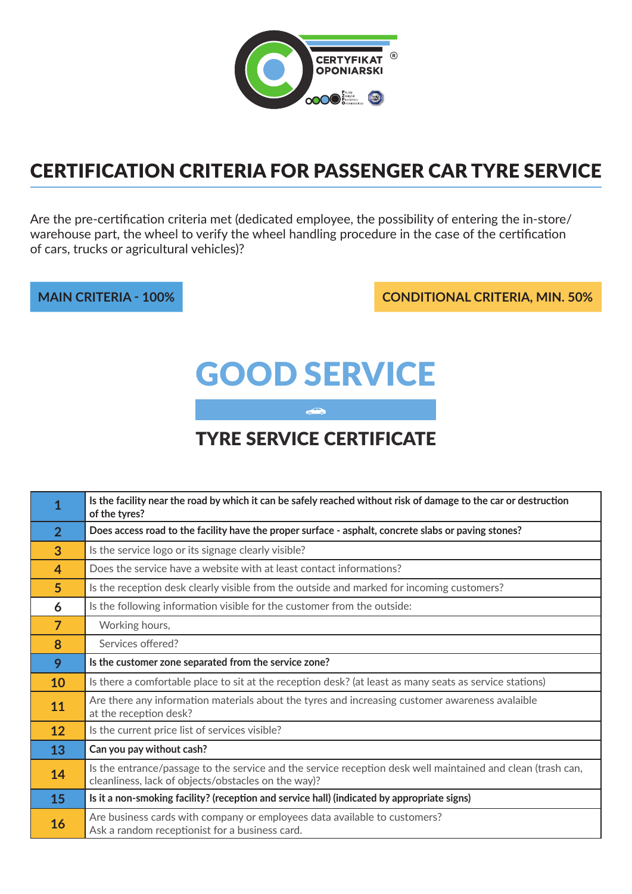

## Certification Criteria for passenger car tyre service

Are the pre-certification criteria met (dedicated employee, the possibility of entering the in-store/ warehouse part, the wheel to verify the wheel handling procedure in the case of the certification of cars, trucks or agricultural vehicles)?

**main criteria - 100% conditional criteria, min. 50%**

# Good service

## tyre service certificate

 $\circ$ 

| 1              | Is the facility near the road by which it can be safely reached without risk of damage to the car or destruction<br>of the tyres?                                  |
|----------------|--------------------------------------------------------------------------------------------------------------------------------------------------------------------|
| $\overline{2}$ | Does access road to the facility have the proper surface - asphalt, concrete slabs or paving stones?                                                               |
| 3              | Is the service logo or its signage clearly visible?                                                                                                                |
| $\overline{4}$ | Does the service have a website with at least contact informations?                                                                                                |
| 5 <sup>5</sup> | Is the reception desk clearly visible from the outside and marked for incoming customers?                                                                          |
| 6              | Is the following information visible for the customer from the outside:                                                                                            |
| $\overline{7}$ | Working hours,                                                                                                                                                     |
| 8              | Services offered?                                                                                                                                                  |
| 9              | Is the customer zone separated from the service zone?                                                                                                              |
| 10             | Is there a comfortable place to sit at the reception desk? (at least as many seats as service stations)                                                            |
| 11             | Are there any information materials about the tyres and increasing customer awareness avalaible<br>at the reception desk?                                          |
| 12             | Is the current price list of services visible?                                                                                                                     |
| 13             | Can you pay without cash?                                                                                                                                          |
| 14             | Is the entrance/passage to the service and the service reception desk well maintained and clean (trash can,<br>cleanliness, lack of objects/obstacles on the way)? |
| 15             | Is it a non-smoking facility? (reception and service hall) (indicated by appropriate signs)                                                                        |
| 16             | Are business cards with company or employees data available to customers?<br>Ask a random receptionist for a business card.                                        |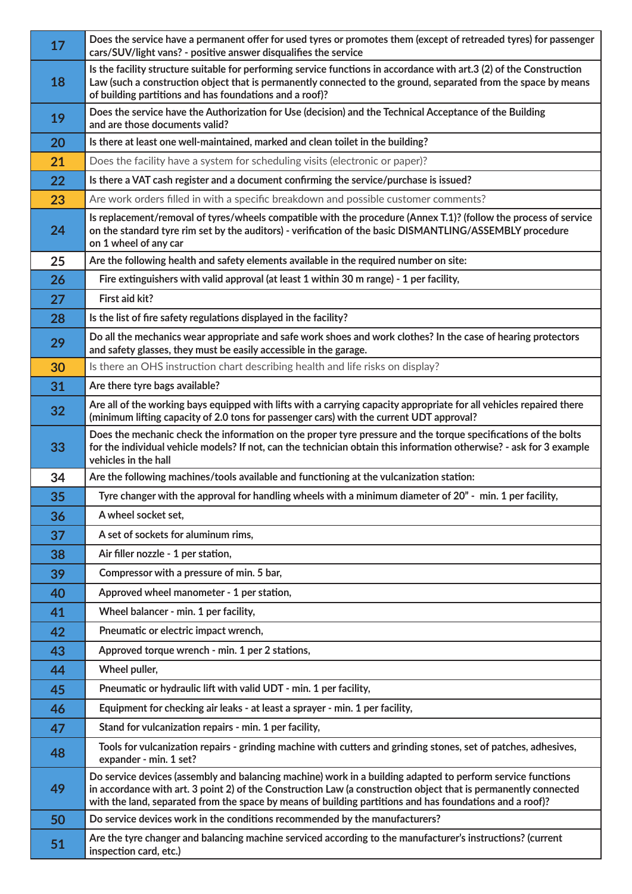| 17 | Does the service have a permanent offer for used tyres or promotes them (except of retreaded tyres) for passenger<br>cars/SUV/light vans? - positive answer disqualifies the service                                                                                                                                                       |
|----|--------------------------------------------------------------------------------------------------------------------------------------------------------------------------------------------------------------------------------------------------------------------------------------------------------------------------------------------|
| 18 | Is the facility structure suitable for performing service functions in accordance with art.3 (2) of the Construction<br>Law (such a construction object that is permanently connected to the ground, separated from the space by means<br>of building partitions and has foundations and a roof)?                                          |
| 19 | Does the service have the Authorization for Use (decision) and the Technical Acceptance of the Building<br>and are those documents valid?                                                                                                                                                                                                  |
| 20 | Is there at least one well-maintained, marked and clean toilet in the building?                                                                                                                                                                                                                                                            |
| 21 | Does the facility have a system for scheduling visits (electronic or paper)?                                                                                                                                                                                                                                                               |
| 22 | Is there a VAT cash register and a document confirming the service/purchase is issued?                                                                                                                                                                                                                                                     |
| 23 | Are work orders filled in with a specific breakdown and possible customer comments?                                                                                                                                                                                                                                                        |
| 24 | Is replacement/removal of tyres/wheels compatible with the procedure (Annex T.1)? (follow the process of service<br>on the standard tyre rim set by the auditors) - verification of the basic DISMANTLING/ASSEMBLY procedure<br>on 1 wheel of any car                                                                                      |
| 25 | Are the following health and safety elements available in the required number on site:                                                                                                                                                                                                                                                     |
| 26 | Fire extinguishers with valid approval (at least 1 within 30 m range) - 1 per facility,                                                                                                                                                                                                                                                    |
| 27 | First aid kit?                                                                                                                                                                                                                                                                                                                             |
| 28 | Is the list of fire safety regulations displayed in the facility?                                                                                                                                                                                                                                                                          |
| 29 | Do all the mechanics wear appropriate and safe work shoes and work clothes? In the case of hearing protectors<br>and safety glasses, they must be easily accessible in the garage.                                                                                                                                                         |
| 30 | Is there an OHS instruction chart describing health and life risks on display?                                                                                                                                                                                                                                                             |
| 31 | Are there tyre bags available?                                                                                                                                                                                                                                                                                                             |
| 32 | Are all of the working bays equipped with lifts with a carrying capacity appropriate for all vehicles repaired there<br>(minimum lifting capacity of 2.0 tons for passenger cars) with the current UDT approval?                                                                                                                           |
| 33 | Does the mechanic check the information on the proper tyre pressure and the torque specifications of the bolts<br>for the individual vehicle models? If not, can the technician obtain this information otherwise? - ask for 3 example<br>vehicles in the hall                                                                             |
| 34 | Are the following machines/tools available and functioning at the vulcanization station:                                                                                                                                                                                                                                                   |
| 35 | Tyre changer with the approval for handling wheels with a minimum diameter of 20" - min. 1 per facility,                                                                                                                                                                                                                                   |
| 36 | A wheel socket set,                                                                                                                                                                                                                                                                                                                        |
| 37 | A set of sockets for aluminum rims,                                                                                                                                                                                                                                                                                                        |
| 38 | Air filler nozzle - 1 per station,                                                                                                                                                                                                                                                                                                         |
| 39 | Compressor with a pressure of min. 5 bar,                                                                                                                                                                                                                                                                                                  |
| 40 | Approved wheel manometer - 1 per station,                                                                                                                                                                                                                                                                                                  |
| 41 | Wheel balancer - min. 1 per facility,                                                                                                                                                                                                                                                                                                      |
| 42 | Pneumatic or electric impact wrench,                                                                                                                                                                                                                                                                                                       |
| 43 | Approved torque wrench - min. 1 per 2 stations,                                                                                                                                                                                                                                                                                            |
| 44 | Wheel puller,                                                                                                                                                                                                                                                                                                                              |
| 45 | Pneumatic or hydraulic lift with valid UDT - min. 1 per facility,                                                                                                                                                                                                                                                                          |
| 46 | Equipment for checking air leaks - at least a sprayer - min. 1 per facility,                                                                                                                                                                                                                                                               |
| 47 | Stand for vulcanization repairs - min. 1 per facility,                                                                                                                                                                                                                                                                                     |
| 48 | Tools for vulcanization repairs - grinding machine with cutters and grinding stones, set of patches, adhesives,<br>expander - min. 1 set?                                                                                                                                                                                                  |
| 49 | Do service devices (assembly and balancing machine) work in a building adapted to perform service functions<br>in accordance with art. 3 point 2) of the Construction Law (a construction object that is permanently connected<br>with the land, separated from the space by means of building partitions and has foundations and a roof)? |
| 50 | Do service devices work in the conditions recommended by the manufacturers?                                                                                                                                                                                                                                                                |
| 51 | Are the tyre changer and balancing machine serviced according to the manufacturer's instructions? (current<br>inspection card, etc.)                                                                                                                                                                                                       |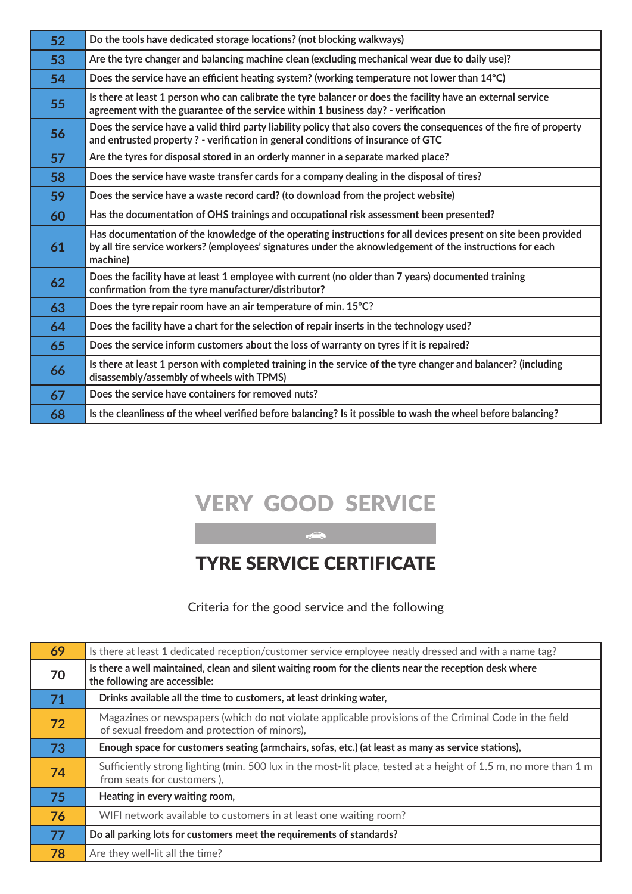| 52 | Do the tools have dedicated storage locations? (not blocking walkways)                                                                                                                                                                  |
|----|-----------------------------------------------------------------------------------------------------------------------------------------------------------------------------------------------------------------------------------------|
| 53 | Are the tyre changer and balancing machine clean (excluding mechanical wear due to daily use)?                                                                                                                                          |
| 54 | Does the service have an efficient heating system? (working temperature not lower than 14°C)                                                                                                                                            |
| 55 | Is there at least 1 person who can calibrate the tyre balancer or does the facility have an external service<br>agreement with the guarantee of the service within 1 business day? - verification                                       |
| 56 | Does the service have a valid third party liability policy that also covers the consequences of the fire of property<br>and entrusted property ? - verification in general conditions of insurance of GTC                               |
| 57 | Are the tyres for disposal stored in an orderly manner in a separate marked place?                                                                                                                                                      |
| 58 | Does the service have waste transfer cards for a company dealing in the disposal of tires?                                                                                                                                              |
| 59 | Does the service have a waste record card? (to download from the project website)                                                                                                                                                       |
| 60 | Has the documentation of OHS trainings and occupational risk assessment been presented?                                                                                                                                                 |
| 61 | Has documentation of the knowledge of the operating instructions for all devices present on site been provided<br>by all tire service workers? (employees' signatures under the aknowledgement of the instructions for each<br>machine) |
| 62 | Does the facility have at least 1 employee with current (no older than 7 years) documented training<br>confirmation from the tyre manufacturer/distributor?                                                                             |
| 63 | Does the tyre repair room have an air temperature of min. 15°C?                                                                                                                                                                         |
| 64 | Does the facility have a chart for the selection of repair inserts in the technology used?                                                                                                                                              |
| 65 | Does the service inform customers about the loss of warranty on tyres if it is repaired?                                                                                                                                                |
| 66 | Is there at least 1 person with completed training in the service of the tyre changer and balancer? (including<br>disassembly/assembly of wheels with TPMS)                                                                             |
| 67 | Does the service have containers for removed nuts?                                                                                                                                                                                      |
| 68 | Is the cleanliness of the wheel verified before balancing? Is it possible to wash the wheel before balancing?                                                                                                                           |

## very good service

tyre service certificate

Criteria for the good service and the following

| 69 | Is there at least 1 dedicated reception/customer service employee neatly dressed and with a name tag?                                                 |
|----|-------------------------------------------------------------------------------------------------------------------------------------------------------|
| 70 | Is there a well maintained, clean and silent waiting room for the clients near the reception desk where<br>the following are accessible:              |
| 71 | Drinks available all the time to customers, at least drinking water,                                                                                  |
| 72 | Magazines or newspapers (which do not violate applicable provisions of the Criminal Code in the field<br>of sexual freedom and protection of minors), |
| 73 | Enough space for customers seating (armchairs, sofas, etc.) (at least as many as service stations),                                                   |
| 74 | Sufficiently strong lighting (min. 500 lux in the most-lit place, tested at a height of 1.5 m, no more than 1 m<br>from seats for customers),         |
| 75 | Heating in every waiting room,                                                                                                                        |
| 76 | WIFI network available to customers in at least one waiting room?                                                                                     |
| 77 | Do all parking lots for customers meet the requirements of standards?                                                                                 |
| 78 | Are they well-lit all the time?                                                                                                                       |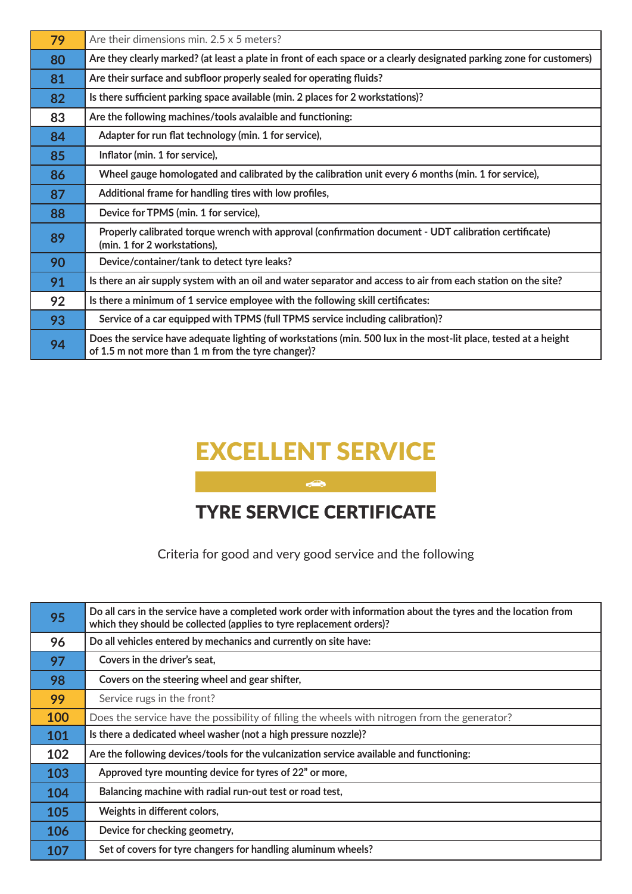| 79 | Are their dimensions min. $2.5 \times 5$ meters?                                                                                                                      |
|----|-----------------------------------------------------------------------------------------------------------------------------------------------------------------------|
| 80 | Are they clearly marked? (at least a plate in front of each space or a clearly designated parking zone for customers)                                                 |
| 81 | Are their surface and subfloor properly sealed for operating fluids?                                                                                                  |
| 82 | Is there sufficient parking space available (min. 2 places for 2 workstations)?                                                                                       |
| 83 | Are the following machines/tools avalaible and functioning:                                                                                                           |
| 84 | Adapter for run flat technology (min. 1 for service),                                                                                                                 |
| 85 | Inflator (min. 1 for service),                                                                                                                                        |
| 86 | Wheel gauge homologated and calibrated by the calibration unit every 6 months (min. 1 for service),                                                                   |
| 87 | Additional frame for handling tires with low profiles,                                                                                                                |
| 88 | Device for TPMS (min. 1 for service),                                                                                                                                 |
| 89 | Properly calibrated torque wrench with approval (confirmation document - UDT calibration certificate)<br>(min. 1 for 2 workstations),                                 |
| 90 | Device/container/tank to detect tyre leaks?                                                                                                                           |
| 91 | Is there an air supply system with an oil and water separator and access to air from each station on the site?                                                        |
| 92 | Is there a minimum of 1 service employee with the following skill certificates:                                                                                       |
| 93 | Service of a car equipped with TPMS (full TPMS service including calibration)?                                                                                        |
| 94 | Does the service have adequate lighting of workstations (min. 500 lux in the most-lit place, tested at a height<br>of 1.5 m not more than 1 m from the tyre changer)? |

## excellent service

#### tyre service certificate

Criteria for good and very good service and the following

| 95  | Do all cars in the service have a completed work order with information about the tyres and the location from<br>which they should be collected (applies to tyre replacement orders)? |
|-----|---------------------------------------------------------------------------------------------------------------------------------------------------------------------------------------|
| 96  | Do all vehicles entered by mechanics and currently on site have:                                                                                                                      |
| 97  | Covers in the driver's seat,                                                                                                                                                          |
| 98  | Covers on the steering wheel and gear shifter,                                                                                                                                        |
| 99  | Service rugs in the front?                                                                                                                                                            |
| 100 | Does the service have the possibility of filling the wheels with nitrogen from the generator?                                                                                         |
| 101 | Is there a dedicated wheel washer (not a high pressure nozzle)?                                                                                                                       |
| 102 | Are the following devices/tools for the vulcanization service available and functioning:                                                                                              |
| 103 | Approved tyre mounting device for tyres of 22" or more,                                                                                                                               |
| 104 | Balancing machine with radial run-out test or road test,                                                                                                                              |
| 105 | Weights in different colors,                                                                                                                                                          |
| 106 | Device for checking geometry,                                                                                                                                                         |
| 107 | Set of covers for tyre changers for handling aluminum wheels?                                                                                                                         |